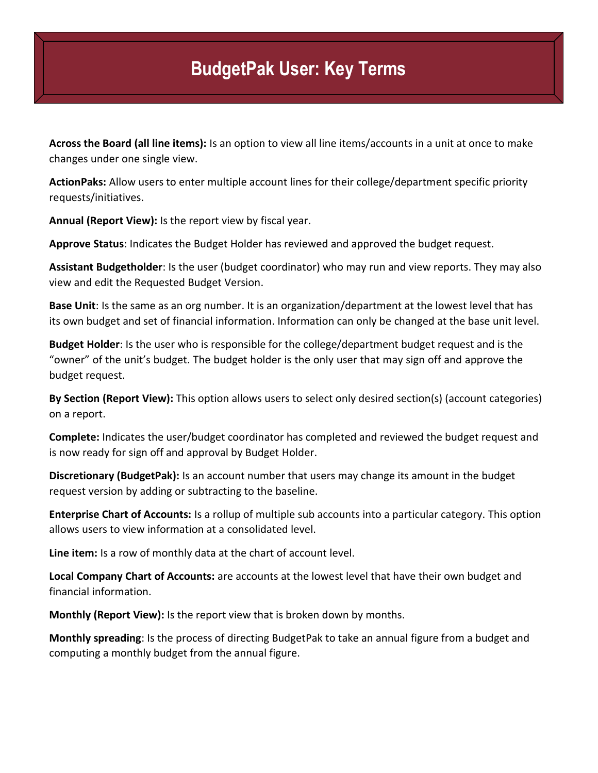## **BudgetPak User: Key Terms**

**Across the Board (all line items):** Is an option to view all line items/accounts in a unit at once to make changes under one single view.

**ActionPaks:** Allow users to enter multiple account lines for their college/department specific priority requests/initiatives.

**Annual (Report View):** Is the report view by fiscal year.

**Approve Status**: Indicates the Budget Holder has reviewed and approved the budget request.

**Assistant Budgetholder**: Is the user (budget coordinator) who may run and view reports. They may also view and edit the Requested Budget Version.

**Base Unit**: Is the same as an org number. It is an organization/department at the lowest level that has its own budget and set of financial information. Information can only be changed at the base unit level.

**Budget Holder**: Is the user who is responsible for the college/department budget request and is the "owner" of the unit's budget. The budget holder is the only user that may sign off and approve the budget request.

**By Section (Report View):** This option allows users to select only desired section(s) (account categories) on a report.

**Complete:** Indicates the user/budget coordinator has completed and reviewed the budget request and is now ready for sign off and approval by Budget Holder.

**Discretionary (BudgetPak):** Is an account number that users may change its amount in the budget request version by adding or subtracting to the baseline.

**Enterprise Chart of Accounts:** Is a rollup of multiple sub accounts into a particular category. This option allows users to view information at a consolidated level.

**Line item:** Is a row of monthly data at the chart of account level.

**Local Company Chart of Accounts:** are accounts at the lowest level that have their own budget and financial information.

**Monthly (Report View):** Is the report view that is broken down by months.

**Monthly spreading**: Is the process of directing BudgetPak to take an annual figure from a budget and computing a monthly budget from the annual figure.